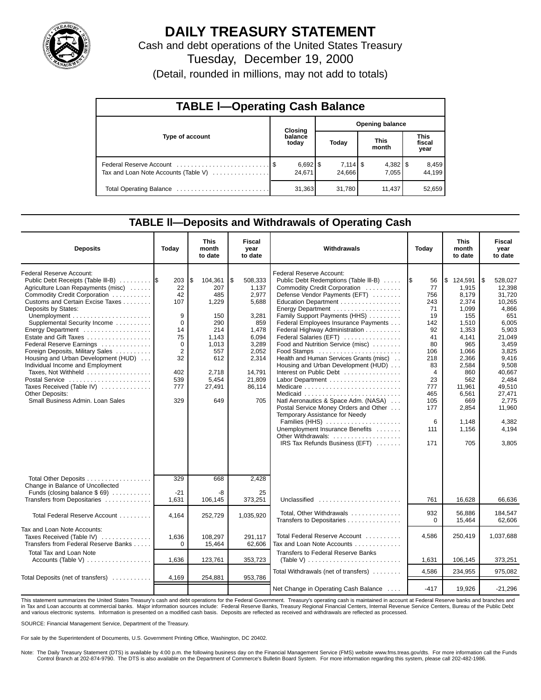

# **DAILY TREASURY STATEMENT**

Cash and debt operations of the United States Treasury

Tuesday, December 19, 2000

(Detail, rounded in millions, may not add to totals)

| <b>TABLE I-Operating Cash Balance</b> |  |                                 |                 |        |  |                      |  |                               |  |  |
|---------------------------------------|--|---------------------------------|-----------------|--------|--|----------------------|--|-------------------------------|--|--|
|                                       |  | Closing                         | Opening balance |        |  |                      |  |                               |  |  |
| Type of account                       |  | balance<br>today                |                 | Today  |  | <b>This</b><br>month |  | <b>This</b><br>fiscal<br>year |  |  |
| Tax and Loan Note Accounts (Table V)  |  | $6,692$ $\frac{8}{3}$<br>24,671 |                 | 24,666 |  | 7.055                |  | 8,459<br>44.199               |  |  |
|                                       |  | 31,363                          |                 | 31,780 |  | 11.437               |  | 52,659                        |  |  |

#### **TABLE ll—Deposits and Withdrawals of Operating Cash**

| <b>Deposits</b>                                                                                                                                                                                                                                                                                                                                                                                                                                                                                                                                                | Today                                                                                                                     | <b>This</b><br><b>Fiscal</b><br>Withdrawals<br>month<br>year<br>to date<br>to date                                           |                                                                                                                                            |                                                                                                                                                                                                                                                                                                                                                                                                                                                                                                                                                                                                                                                                                                                                                              | Today                                                                                                                                            | <b>This</b><br>month<br>to date                                                                                                                                                             | <b>Fiscal</b><br>year<br>to date                                                                                                                                                                                  |
|----------------------------------------------------------------------------------------------------------------------------------------------------------------------------------------------------------------------------------------------------------------------------------------------------------------------------------------------------------------------------------------------------------------------------------------------------------------------------------------------------------------------------------------------------------------|---------------------------------------------------------------------------------------------------------------------------|------------------------------------------------------------------------------------------------------------------------------|--------------------------------------------------------------------------------------------------------------------------------------------|--------------------------------------------------------------------------------------------------------------------------------------------------------------------------------------------------------------------------------------------------------------------------------------------------------------------------------------------------------------------------------------------------------------------------------------------------------------------------------------------------------------------------------------------------------------------------------------------------------------------------------------------------------------------------------------------------------------------------------------------------------------|--------------------------------------------------------------------------------------------------------------------------------------------------|---------------------------------------------------------------------------------------------------------------------------------------------------------------------------------------------|-------------------------------------------------------------------------------------------------------------------------------------------------------------------------------------------------------------------|
| Federal Reserve Account:<br>Public Debt Receipts (Table III-B) 5<br>Agriculture Loan Repayments (misc)<br>Commodity Credit Corporation<br>Customs and Certain Excise Taxes<br>Deposits by States:<br>Supplemental Security Income<br>Energy Department<br>Estate and Gift Taxes<br>Federal Reserve Earnings<br>Foreign Deposits, Military Sales<br>Housing and Urban Development (HUD)<br>Individual Income and Employment<br>Taxes, Not Withheld<br>Postal Service<br>Taxes Received (Table IV)<br><b>Other Deposits:</b><br>Small Business Admin, Loan Sales | 203<br>22<br>42<br>107<br>9<br>$\mathbf 0$<br>14<br>75<br>$\mathbf 0$<br>$\overline{2}$<br>32<br>402<br>539<br>777<br>329 | S.<br>104,361<br>207<br>485<br>1,229<br>150<br>290<br>214<br>1,143<br>1,013<br>557<br>612<br>2,718<br>5,454<br>27,491<br>649 | \$<br>508.333<br>1,137<br>2,977<br>5,688<br>3,281<br>859<br>1,478<br>6,094<br>3,289<br>2,052<br>2,314<br>14,791<br>21,809<br>86,114<br>705 | <b>Federal Reserve Account:</b><br>Public Debt Redemptions (Table III-B)<br>Commodity Credit Corporation<br>Defense Vendor Payments (EFT)<br>Education Department<br>Energy Department<br>Family Support Payments (HHS)<br>Federal Employees Insurance Payments<br>Federal Highway Administration<br>Federal Salaries (EFT)<br>Food and Nutrition Service (misc)<br>Food Stamps<br>Health and Human Services Grants (misc)<br>Housing and Urban Development (HUD)<br>Interest on Public Debt<br>Labor Department<br>Medicaid<br>Natl Aeronautics & Space Adm. (NASA)<br>Postal Service Money Orders and Other<br>Temporary Assistance for Needy<br>Families (HHS)<br>Unemployment Insurance Benefits<br>Other Withdrawals:<br>IRS Tax Refunds Business (EFT) | I\$<br>56<br>77<br>756<br>243<br>71<br>19<br>142<br>92<br>41<br>80<br>106<br>218<br>83<br>4<br>23<br>777<br>465<br>105<br>177<br>6<br>111<br>171 | \$124,591<br>1,915<br>8,179<br>2,374<br>1,099<br>155<br>1,510<br>1,353<br>4,141<br>965<br>1,066<br>2,366<br>2,584<br>860<br>562<br>11,961<br>6,561<br>669<br>2,854<br>1,148<br>1,156<br>705 | 528.027<br>l\$<br>12,398<br>31,720<br>10,265<br>4,866<br>651<br>6,005<br>5,903<br>21,049<br>3,459<br>3,825<br>9,416<br>9,508<br>40,667<br>2.484<br>49,510<br>27,471<br>2.775<br>11,960<br>4,382<br>4,194<br>3,805 |
| Total Other Deposits<br>Change in Balance of Uncollected<br>Funds (closing balance $$69$ )<br>Transfers from Depositaries                                                                                                                                                                                                                                                                                                                                                                                                                                      | 329<br>$-21$<br>1,631                                                                                                     | 668<br>-8<br>106,145                                                                                                         | 2,428<br>25<br>373,251                                                                                                                     | Unclassified                                                                                                                                                                                                                                                                                                                                                                                                                                                                                                                                                                                                                                                                                                                                                 | 761                                                                                                                                              | 16,628                                                                                                                                                                                      | 66,636                                                                                                                                                                                                            |
| Total Federal Reserve Account                                                                                                                                                                                                                                                                                                                                                                                                                                                                                                                                  | 4.164                                                                                                                     | 252.729                                                                                                                      | 1,035,920                                                                                                                                  | Total, Other Withdrawals                                                                                                                                                                                                                                                                                                                                                                                                                                                                                                                                                                                                                                                                                                                                     | 932                                                                                                                                              | 56,886                                                                                                                                                                                      | 184,547                                                                                                                                                                                                           |
| Tax and Loan Note Accounts:<br>Taxes Received (Table IV)<br>Transfers from Federal Reserve Banks                                                                                                                                                                                                                                                                                                                                                                                                                                                               | 1.636<br>$\Omega$                                                                                                         | 108.297<br>15,464                                                                                                            | 291.117<br>62,606                                                                                                                          | Transfers to Depositaries<br>Total Federal Reserve Account<br>Tax and Loan Note Accounts                                                                                                                                                                                                                                                                                                                                                                                                                                                                                                                                                                                                                                                                     | $\Omega$<br>4.586                                                                                                                                | 15,464<br>250,419                                                                                                                                                                           | 62,606<br>1,037,688                                                                                                                                                                                               |
| <b>Total Tax and Loan Note</b><br>Accounts (Table V) $\dots \dots \dots \dots \dots$                                                                                                                                                                                                                                                                                                                                                                                                                                                                           | 1,636                                                                                                                     | 123,761                                                                                                                      | 353,723                                                                                                                                    | <b>Transfers to Federal Reserve Banks</b><br>(Table V) $\ldots \ldots \ldots \ldots \ldots \ldots \ldots \ldots$                                                                                                                                                                                                                                                                                                                                                                                                                                                                                                                                                                                                                                             | 1,631                                                                                                                                            | 106,145                                                                                                                                                                                     | 373,251                                                                                                                                                                                                           |
|                                                                                                                                                                                                                                                                                                                                                                                                                                                                                                                                                                |                                                                                                                           |                                                                                                                              |                                                                                                                                            | Total Withdrawals (net of transfers)                                                                                                                                                                                                                                                                                                                                                                                                                                                                                                                                                                                                                                                                                                                         | 4,586                                                                                                                                            | 234,955                                                                                                                                                                                     | 975,082                                                                                                                                                                                                           |
| Total Deposits (net of transfers)                                                                                                                                                                                                                                                                                                                                                                                                                                                                                                                              | 4,169                                                                                                                     | 254,881                                                                                                                      | 953,786                                                                                                                                    | Net Change in Operating Cash Balance                                                                                                                                                                                                                                                                                                                                                                                                                                                                                                                                                                                                                                                                                                                         | $-417$                                                                                                                                           | 19,926                                                                                                                                                                                      | $-21,296$                                                                                                                                                                                                         |

This statement summarizes the United States Treasury's cash and debt operations for the Federal Government. Treasury's operating cash is maintained in account at Federal Reserve banks and branches and in Tax and Loan accounts at commercial banks. Major information sources include: Federal Reserve Banks, Treasury Regional Financial Centers, Internal Revenue Service Centers, Bureau of the Public Debt<br>and various electroni

SOURCE: Financial Management Service, Department of the Treasury.

For sale by the Superintendent of Documents, U.S. Government Printing Office, Washington, DC 20402.

Note: The Daily Treasury Statement (DTS) is available by 4:00 p.m. the following business day on the Financial Management Service (FMS) website www.fms.treas.gov/dts. For more information call the Funds Control Branch at 202-874-9790. The DTS is also available on the Department of Commerce's Bulletin Board System. For more information regarding this system, please call 202-482-1986.